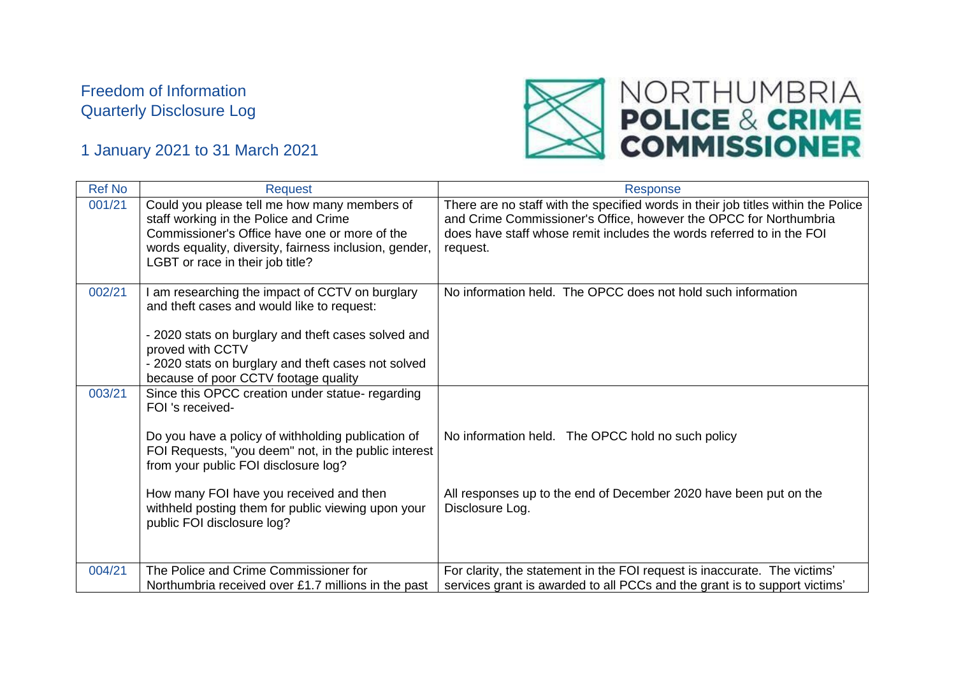## Freedom of Information Quarterly Disclosure Log



## 1 January 2021 to 31 March 2021

| <b>Ref No</b> | <b>Request</b>                                                                                                                                                                                                                                                                                                                                            | <b>Response</b>                                                                                                                                                                                                                             |
|---------------|-----------------------------------------------------------------------------------------------------------------------------------------------------------------------------------------------------------------------------------------------------------------------------------------------------------------------------------------------------------|---------------------------------------------------------------------------------------------------------------------------------------------------------------------------------------------------------------------------------------------|
| 001/21        | Could you please tell me how many members of<br>staff working in the Police and Crime<br>Commissioner's Office have one or more of the<br>words equality, diversity, fairness inclusion, gender,<br>LGBT or race in their job title?                                                                                                                      | There are no staff with the specified words in their job titles within the Police<br>and Crime Commissioner's Office, however the OPCC for Northumbria<br>does have staff whose remit includes the words referred to in the FOI<br>request. |
| 002/21        | I am researching the impact of CCTV on burglary<br>and theft cases and would like to request:<br>- 2020 stats on burglary and theft cases solved and<br>proved with CCTV<br>- 2020 stats on burglary and theft cases not solved<br>because of poor CCTV footage quality                                                                                   | No information held. The OPCC does not hold such information                                                                                                                                                                                |
| 003/21        | Since this OPCC creation under statue- regarding<br>FOI 's received-<br>Do you have a policy of withholding publication of<br>FOI Requests, "you deem" not, in the public interest<br>from your public FOI disclosure log?<br>How many FOI have you received and then<br>withheld posting them for public viewing upon your<br>public FOI disclosure log? | No information held. The OPCC hold no such policy<br>All responses up to the end of December 2020 have been put on the<br>Disclosure Log.                                                                                                   |
| 004/21        | The Police and Crime Commissioner for<br>Northumbria received over £1.7 millions in the past                                                                                                                                                                                                                                                              | For clarity, the statement in the FOI request is inaccurate. The victims'<br>services grant is awarded to all PCCs and the grant is to support victims'                                                                                     |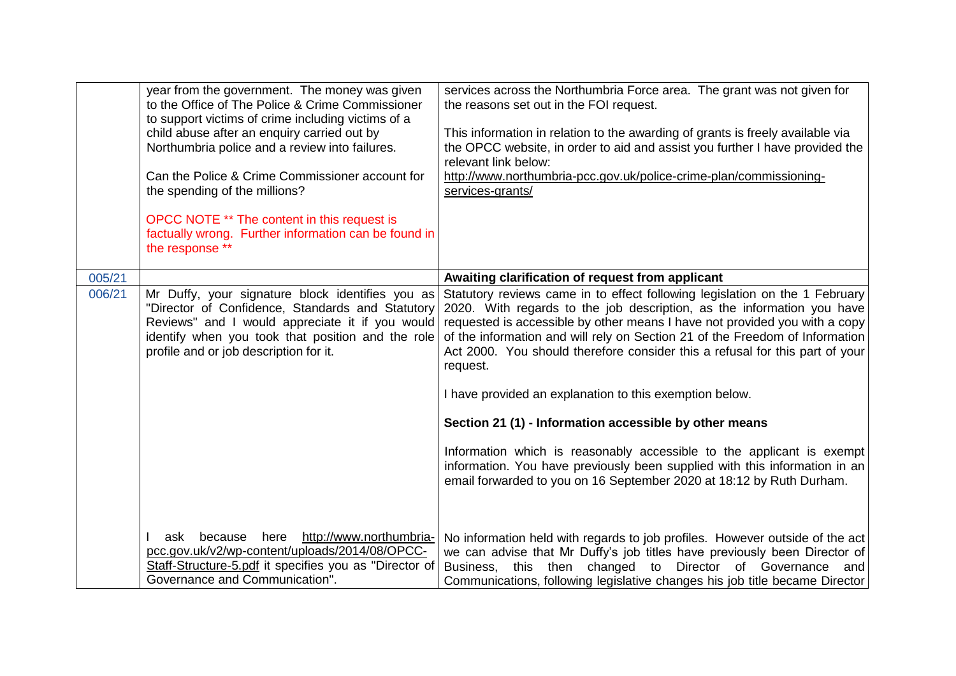|                  | year from the government. The money was given<br>to the Office of The Police & Crime Commissioner<br>to support victims of crime including victims of a<br>child abuse after an enquiry carried out by<br>Northumbria police and a review into failures.<br>Can the Police & Crime Commissioner account for<br>the spending of the millions?<br>OPCC NOTE ** The content in this request is<br>factually wrong. Further information can be found in<br>the response ** | services across the Northumbria Force area. The grant was not given for<br>the reasons set out in the FOI request.<br>This information in relation to the awarding of grants is freely available via<br>the OPCC website, in order to aid and assist you further I have provided the<br>relevant link below:<br>http://www.northumbria-pcc.gov.uk/police-crime-plan/commissioning-<br>services-grants/                                                                                                                                                                                                                                                                                                                                                                                                                  |
|------------------|------------------------------------------------------------------------------------------------------------------------------------------------------------------------------------------------------------------------------------------------------------------------------------------------------------------------------------------------------------------------------------------------------------------------------------------------------------------------|-------------------------------------------------------------------------------------------------------------------------------------------------------------------------------------------------------------------------------------------------------------------------------------------------------------------------------------------------------------------------------------------------------------------------------------------------------------------------------------------------------------------------------------------------------------------------------------------------------------------------------------------------------------------------------------------------------------------------------------------------------------------------------------------------------------------------|
|                  |                                                                                                                                                                                                                                                                                                                                                                                                                                                                        |                                                                                                                                                                                                                                                                                                                                                                                                                                                                                                                                                                                                                                                                                                                                                                                                                         |
| 005/21<br>006/21 | Mr Duffy, your signature block identifies you as<br>"Director of Confidence, Standards and Statutory<br>Reviews" and I would appreciate it if you would<br>identify when you took that position and the role<br>profile and or job description for it.                                                                                                                                                                                                                 | Awaiting clarification of request from applicant<br>Statutory reviews came in to effect following legislation on the 1 February<br>2020. With regards to the job description, as the information you have<br>requested is accessible by other means I have not provided you with a copy<br>of the information and will rely on Section 21 of the Freedom of Information<br>Act 2000. You should therefore consider this a refusal for this part of your<br>request.<br>I have provided an explanation to this exemption below.<br>Section 21 (1) - Information accessible by other means<br>Information which is reasonably accessible to the applicant is exempt<br>information. You have previously been supplied with this information in an<br>email forwarded to you on 16 September 2020 at 18:12 by Ruth Durham. |
|                  | http://www.northumbria-<br>because<br>here<br>ask<br>pcc.gov.uk/v2/wp-content/uploads/2014/08/OPCC-<br>Staff-Structure-5.pdf it specifies you as "Director of<br>Governance and Communication".                                                                                                                                                                                                                                                                        | No information held with regards to job profiles. However outside of the act<br>we can advise that Mr Duffy's job titles have previously been Director of<br>Business, this then changed to Director of Governance and<br>Communications, following legislative changes his job title became Director                                                                                                                                                                                                                                                                                                                                                                                                                                                                                                                   |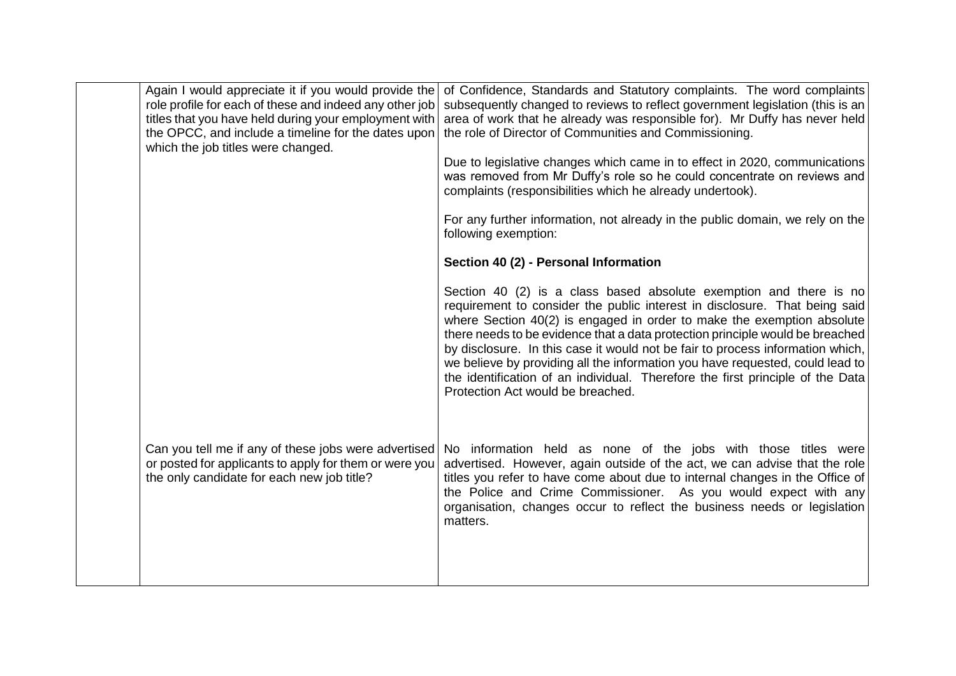| Again I would appreciate it if you would provide the<br>role profile for each of these and indeed any other job<br>titles that you have held during your employment with<br>the OPCC, and include a timeline for the dates upon<br>which the job titles were changed. | of Confidence, Standards and Statutory complaints. The word complaints<br>subsequently changed to reviews to reflect government legislation (this is an<br>area of work that he already was responsible for). Mr Duffy has never held<br>the role of Director of Communities and Commissioning.<br>Due to legislative changes which came in to effect in 2020, communications<br>was removed from Mr Duffy's role so he could concentrate on reviews and                                                                                                                                              |
|-----------------------------------------------------------------------------------------------------------------------------------------------------------------------------------------------------------------------------------------------------------------------|-------------------------------------------------------------------------------------------------------------------------------------------------------------------------------------------------------------------------------------------------------------------------------------------------------------------------------------------------------------------------------------------------------------------------------------------------------------------------------------------------------------------------------------------------------------------------------------------------------|
|                                                                                                                                                                                                                                                                       | complaints (responsibilities which he already undertook).<br>For any further information, not already in the public domain, we rely on the<br>following exemption:                                                                                                                                                                                                                                                                                                                                                                                                                                    |
|                                                                                                                                                                                                                                                                       | Section 40 (2) - Personal Information                                                                                                                                                                                                                                                                                                                                                                                                                                                                                                                                                                 |
|                                                                                                                                                                                                                                                                       | Section 40 (2) is a class based absolute exemption and there is no<br>requirement to consider the public interest in disclosure. That being said<br>where Section 40(2) is engaged in order to make the exemption absolute<br>there needs to be evidence that a data protection principle would be breached<br>by disclosure. In this case it would not be fair to process information which,<br>we believe by providing all the information you have requested, could lead to<br>the identification of an individual. Therefore the first principle of the Data<br>Protection Act would be breached. |
| Can you tell me if any of these jobs were advertised<br>or posted for applicants to apply for them or were you<br>the only candidate for each new job title?                                                                                                          | No information held as none of the jobs with those titles were<br>advertised. However, again outside of the act, we can advise that the role<br>titles you refer to have come about due to internal changes in the Office of<br>the Police and Crime Commissioner. As you would expect with any<br>organisation, changes occur to reflect the business needs or legislation<br>matters.                                                                                                                                                                                                               |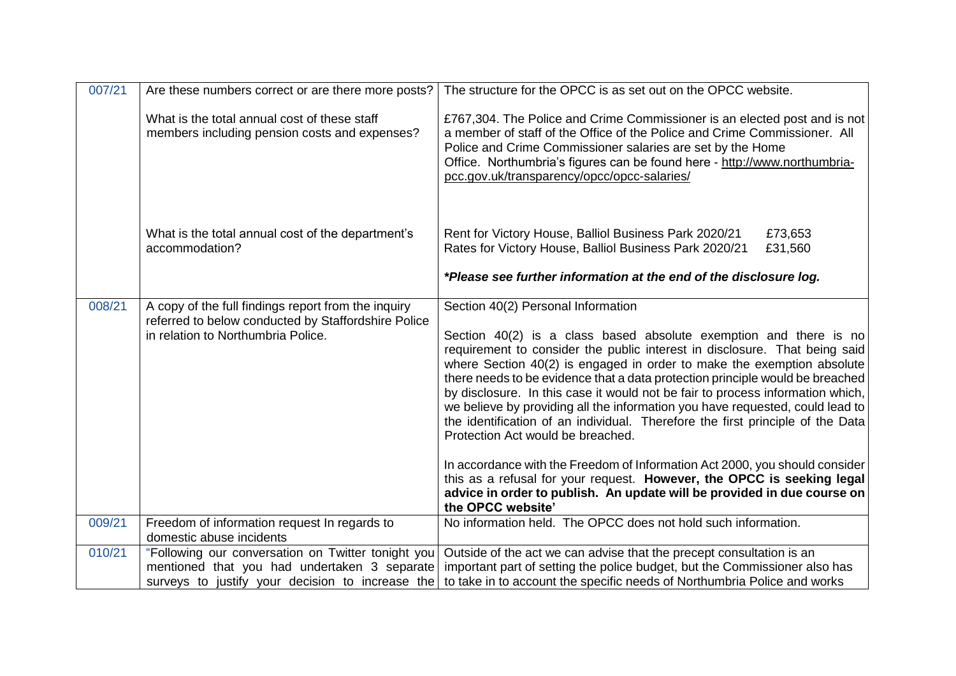| 007/21 | Are these numbers correct or are there more posts?                                                                                                     | The structure for the OPCC is as set out on the OPCC website.                                                                                                                                                                                                                                                                                                                                                                                                                                                                                                                                                                                                                                                                                                                                                                                                                                       |
|--------|--------------------------------------------------------------------------------------------------------------------------------------------------------|-----------------------------------------------------------------------------------------------------------------------------------------------------------------------------------------------------------------------------------------------------------------------------------------------------------------------------------------------------------------------------------------------------------------------------------------------------------------------------------------------------------------------------------------------------------------------------------------------------------------------------------------------------------------------------------------------------------------------------------------------------------------------------------------------------------------------------------------------------------------------------------------------------|
|        | What is the total annual cost of these staff<br>members including pension costs and expenses?                                                          | £767,304. The Police and Crime Commissioner is an elected post and is not<br>a member of staff of the Office of the Police and Crime Commissioner. All<br>Police and Crime Commissioner salaries are set by the Home<br>Office. Northumbria's figures can be found here - http://www.northumbria-<br>pcc.gov.uk/transparency/opcc/opcc-salaries/                                                                                                                                                                                                                                                                                                                                                                                                                                                                                                                                                    |
|        | What is the total annual cost of the department's<br>accommodation?                                                                                    | Rent for Victory House, Balliol Business Park 2020/21<br>£73,653<br>Rates for Victory House, Balliol Business Park 2020/21<br>£31,560<br>*Please see further information at the end of the disclosure log.                                                                                                                                                                                                                                                                                                                                                                                                                                                                                                                                                                                                                                                                                          |
| 008/21 | A copy of the full findings report from the inquiry<br>referred to below conducted by Staffordshire Police<br>in relation to Northumbria Police.       | Section 40(2) Personal Information<br>Section 40(2) is a class based absolute exemption and there is no<br>requirement to consider the public interest in disclosure. That being said<br>where Section 40(2) is engaged in order to make the exemption absolute<br>there needs to be evidence that a data protection principle would be breached<br>by disclosure. In this case it would not be fair to process information which,<br>we believe by providing all the information you have requested, could lead to<br>the identification of an individual. Therefore the first principle of the Data<br>Protection Act would be breached.<br>In accordance with the Freedom of Information Act 2000, you should consider<br>this as a refusal for your request. However, the OPCC is seeking legal<br>advice in order to publish. An update will be provided in due course on<br>the OPCC website' |
| 009/21 | Freedom of information request In regards to<br>domestic abuse incidents                                                                               | No information held. The OPCC does not hold such information.                                                                                                                                                                                                                                                                                                                                                                                                                                                                                                                                                                                                                                                                                                                                                                                                                                       |
| 010/21 | "Following our conversation on Twitter tonight you<br>mentioned that you had undertaken 3 separate<br>surveys to justify your decision to increase the | Outside of the act we can advise that the precept consultation is an<br>important part of setting the police budget, but the Commissioner also has<br>to take in to account the specific needs of Northumbria Police and works                                                                                                                                                                                                                                                                                                                                                                                                                                                                                                                                                                                                                                                                      |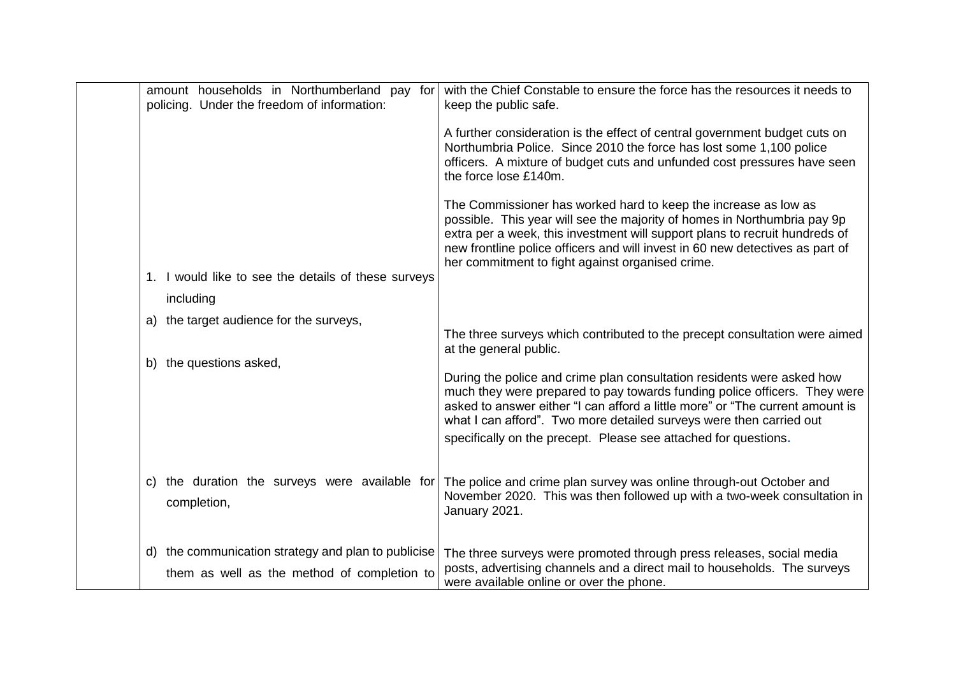| amount households in Northumberland pay for<br>policing. Under the freedom of information: | with the Chief Constable to ensure the force has the resources it needs to<br>keep the public safe.                                                                                                                                                                                                                                                                            |
|--------------------------------------------------------------------------------------------|--------------------------------------------------------------------------------------------------------------------------------------------------------------------------------------------------------------------------------------------------------------------------------------------------------------------------------------------------------------------------------|
|                                                                                            | A further consideration is the effect of central government budget cuts on<br>Northumbria Police. Since 2010 the force has lost some 1,100 police<br>officers. A mixture of budget cuts and unfunded cost pressures have seen<br>the force lose £140m.                                                                                                                         |
|                                                                                            | The Commissioner has worked hard to keep the increase as low as<br>possible. This year will see the majority of homes in Northumbria pay 9p<br>extra per a week, this investment will support plans to recruit hundreds of<br>new frontline police officers and will invest in 60 new detectives as part of<br>her commitment to fight against organised crime.                |
| 1. I would like to see the details of these surveys                                        |                                                                                                                                                                                                                                                                                                                                                                                |
| including                                                                                  |                                                                                                                                                                                                                                                                                                                                                                                |
| a) the target audience for the surveys,                                                    |                                                                                                                                                                                                                                                                                                                                                                                |
|                                                                                            | The three surveys which contributed to the precept consultation were aimed<br>at the general public.                                                                                                                                                                                                                                                                           |
| b) the questions asked,                                                                    | During the police and crime plan consultation residents were asked how<br>much they were prepared to pay towards funding police officers. They were<br>asked to answer either "I can afford a little more" or "The current amount is<br>what I can afford". Two more detailed surveys were then carried out<br>specifically on the precept. Please see attached for questions. |
| c) the duration the surveys were available for<br>completion,                              | The police and crime plan survey was online through-out October and<br>November 2020. This was then followed up with a two-week consultation in<br>January 2021.                                                                                                                                                                                                               |
| d) the communication strategy and plan to publicise                                        | The three surveys were promoted through press releases, social media                                                                                                                                                                                                                                                                                                           |
| them as well as the method of completion to                                                | posts, advertising channels and a direct mail to households. The surveys<br>were available online or over the phone.                                                                                                                                                                                                                                                           |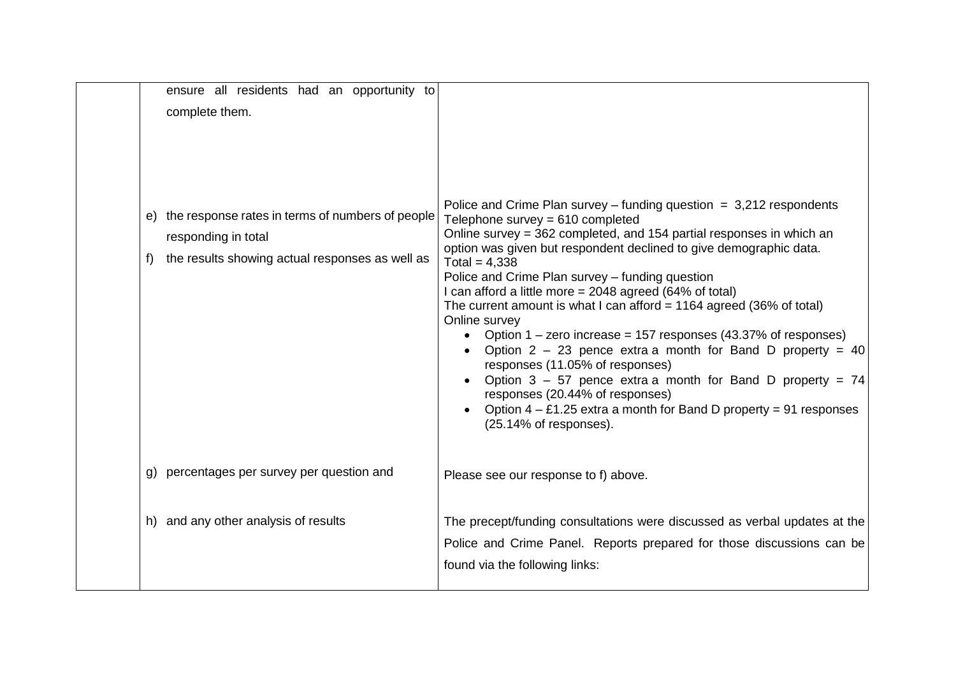| ensure all residents had an opportunity to<br>complete them.                                                                       |                                                                                                                                                                                                                                                                                                                                                                                                                                                                                                                                                                                                                                                                                                                                                                                                                                                                                          |
|------------------------------------------------------------------------------------------------------------------------------------|------------------------------------------------------------------------------------------------------------------------------------------------------------------------------------------------------------------------------------------------------------------------------------------------------------------------------------------------------------------------------------------------------------------------------------------------------------------------------------------------------------------------------------------------------------------------------------------------------------------------------------------------------------------------------------------------------------------------------------------------------------------------------------------------------------------------------------------------------------------------------------------|
| e) the response rates in terms of numbers of people<br>responding in total<br>the results showing actual responses as well as<br>f | Police and Crime Plan survey – funding question $= 3,212$ respondents<br>Telephone survey = 610 completed<br>Online survey = 362 completed, and 154 partial responses in which an<br>option was given but respondent declined to give demographic data.<br>Total = $4,338$<br>Police and Crime Plan survey - funding question<br>I can afford a little more = 2048 agreed (64% of total)<br>The current amount is what I can afford = $1164$ agreed (36% of total)<br>Online survey<br>Option $1 -$ zero increase = 157 responses (43.37% of responses)<br>$\bullet$<br>Option $2 - 23$ pence extra a month for Band D property = 40<br>responses (11.05% of responses)<br>Option $3 - 57$ pence extra a month for Band D property = 74<br>responses (20.44% of responses)<br>Option $4 - \text{\pounds}1.25$ extra a month for Band D property = 91 responses<br>(25.14% of responses). |
| percentages per survey per question and                                                                                            | Please see our response to f) above.                                                                                                                                                                                                                                                                                                                                                                                                                                                                                                                                                                                                                                                                                                                                                                                                                                                     |
| h) and any other analysis of results                                                                                               | The precept/funding consultations were discussed as verbal updates at the<br>Police and Crime Panel. Reports prepared for those discussions can be<br>found via the following links:                                                                                                                                                                                                                                                                                                                                                                                                                                                                                                                                                                                                                                                                                                     |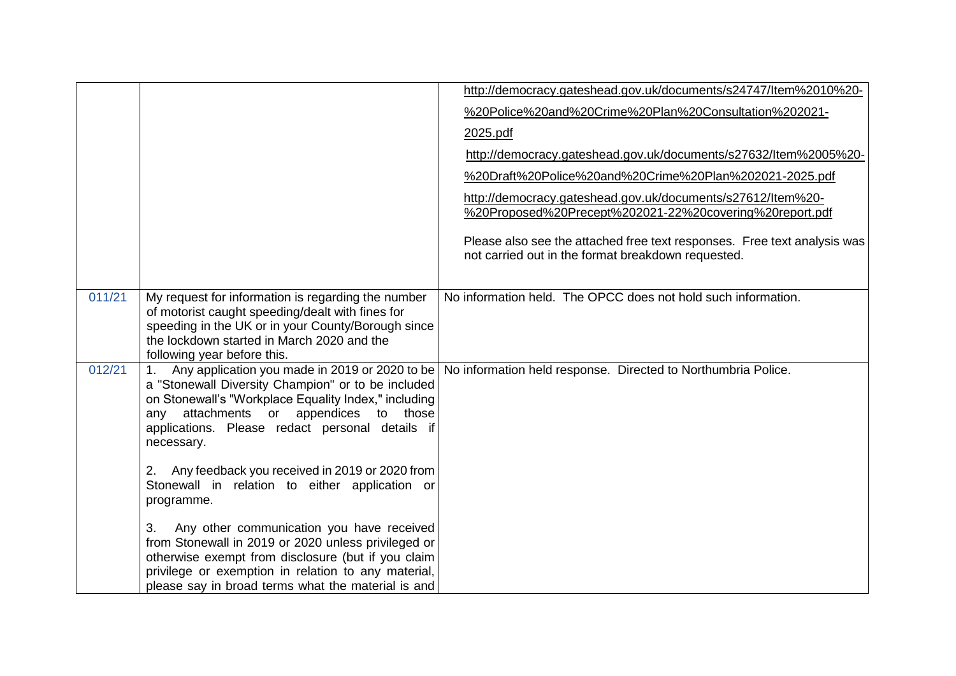|        |                                                                                                                                                                                                                                                                           | http://democracy.gateshead.gov.uk/documents/s24747/ltem%2010%20-                                                               |
|--------|---------------------------------------------------------------------------------------------------------------------------------------------------------------------------------------------------------------------------------------------------------------------------|--------------------------------------------------------------------------------------------------------------------------------|
|        |                                                                                                                                                                                                                                                                           | %20Police%20and%20Crime%20Plan%20Consultation%202021-                                                                          |
|        |                                                                                                                                                                                                                                                                           | 2025.pdf                                                                                                                       |
|        |                                                                                                                                                                                                                                                                           | http://democracy.gateshead.gov.uk/documents/s27632/ltem%2005%20-                                                               |
|        |                                                                                                                                                                                                                                                                           | %20Draft%20Police%20and%20Crime%20Plan%202021-2025.pdf                                                                         |
|        |                                                                                                                                                                                                                                                                           | http://democracy.gateshead.gov.uk/documents/s27612/ltem%20-<br>%20Proposed%20Precept%202021-22%20covering%20report.pdf         |
|        |                                                                                                                                                                                                                                                                           | Please also see the attached free text responses. Free text analysis was<br>not carried out in the format breakdown requested. |
| 011/21 | My request for information is regarding the number<br>of motorist caught speeding/dealt with fines for<br>speeding in the UK or in your County/Borough since<br>the lockdown started in March 2020 and the<br>following year before this.                                 | No information held. The OPCC does not hold such information.                                                                  |
| 012/21 | Any application you made in 2019 or 2020 to be<br>a "Stonewall Diversity Champion" or to be included<br>on Stonewall's "Workplace Equality Index," including<br>any attachments or appendices to those<br>applications. Please redact personal details if<br>necessary.   | No information held response. Directed to Northumbria Police.                                                                  |
|        | Any feedback you received in 2019 or 2020 from<br>2.<br>Stonewall in relation to either application or<br>programme.                                                                                                                                                      |                                                                                                                                |
|        | 3.<br>Any other communication you have received<br>from Stonewall in 2019 or 2020 unless privileged or<br>otherwise exempt from disclosure (but if you claim<br>privilege or exemption in relation to any material,<br>please say in broad terms what the material is and |                                                                                                                                |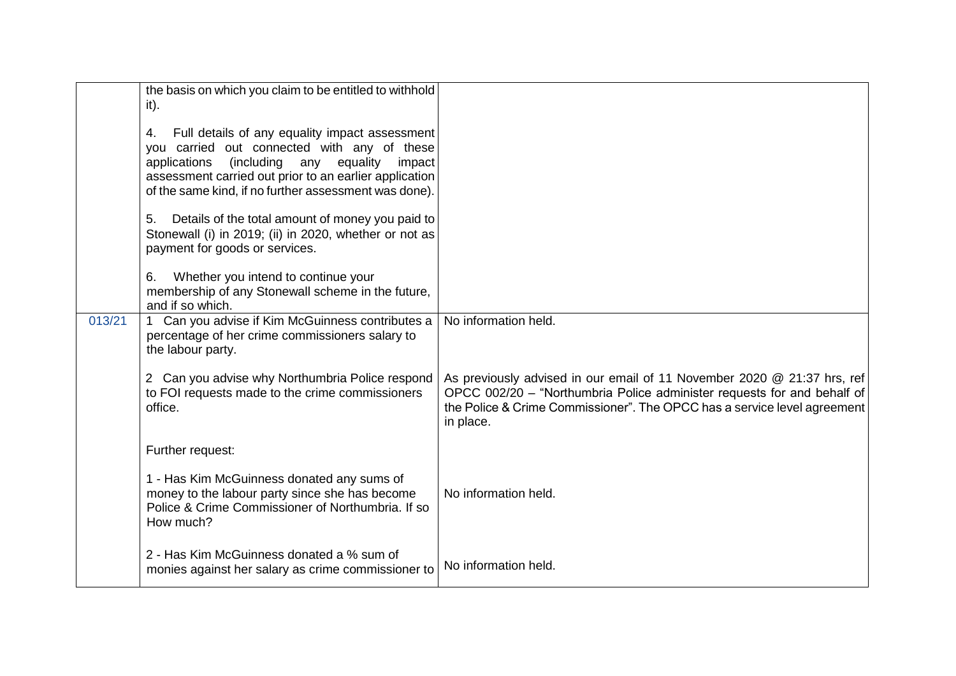|        | the basis on which you claim to be entitled to withhold<br>it).                                                                                                                                                                                                                   |                                                                                                                                                                                                                                             |
|--------|-----------------------------------------------------------------------------------------------------------------------------------------------------------------------------------------------------------------------------------------------------------------------------------|---------------------------------------------------------------------------------------------------------------------------------------------------------------------------------------------------------------------------------------------|
|        | Full details of any equality impact assessment<br>4.<br>you carried out connected with any of these<br>applications<br>(including<br>equality<br>any<br>impact<br>assessment carried out prior to an earlier application<br>of the same kind, if no further assessment was done). |                                                                                                                                                                                                                                             |
|        | Details of the total amount of money you paid to<br>5.<br>Stonewall (i) in 2019; (ii) in 2020, whether or not as<br>payment for goods or services.                                                                                                                                |                                                                                                                                                                                                                                             |
|        | Whether you intend to continue your<br>6.<br>membership of any Stonewall scheme in the future,<br>and if so which.                                                                                                                                                                |                                                                                                                                                                                                                                             |
| 013/21 | 1 Can you advise if Kim McGuinness contributes a<br>percentage of her crime commissioners salary to<br>the labour party.                                                                                                                                                          | No information held.                                                                                                                                                                                                                        |
|        | 2 Can you advise why Northumbria Police respond<br>to FOI requests made to the crime commissioners<br>office.                                                                                                                                                                     | As previously advised in our email of 11 November 2020 @ 21:37 hrs, ref<br>OPCC 002/20 - "Northumbria Police administer requests for and behalf of<br>the Police & Crime Commissioner". The OPCC has a service level agreement<br>in place. |
|        | Further request:                                                                                                                                                                                                                                                                  |                                                                                                                                                                                                                                             |
|        | 1 - Has Kim McGuinness donated any sums of<br>money to the labour party since she has become<br>Police & Crime Commissioner of Northumbria. If so<br>How much?                                                                                                                    | No information held.                                                                                                                                                                                                                        |
|        | 2 - Has Kim McGuinness donated a % sum of<br>monies against her salary as crime commissioner to                                                                                                                                                                                   | No information held.                                                                                                                                                                                                                        |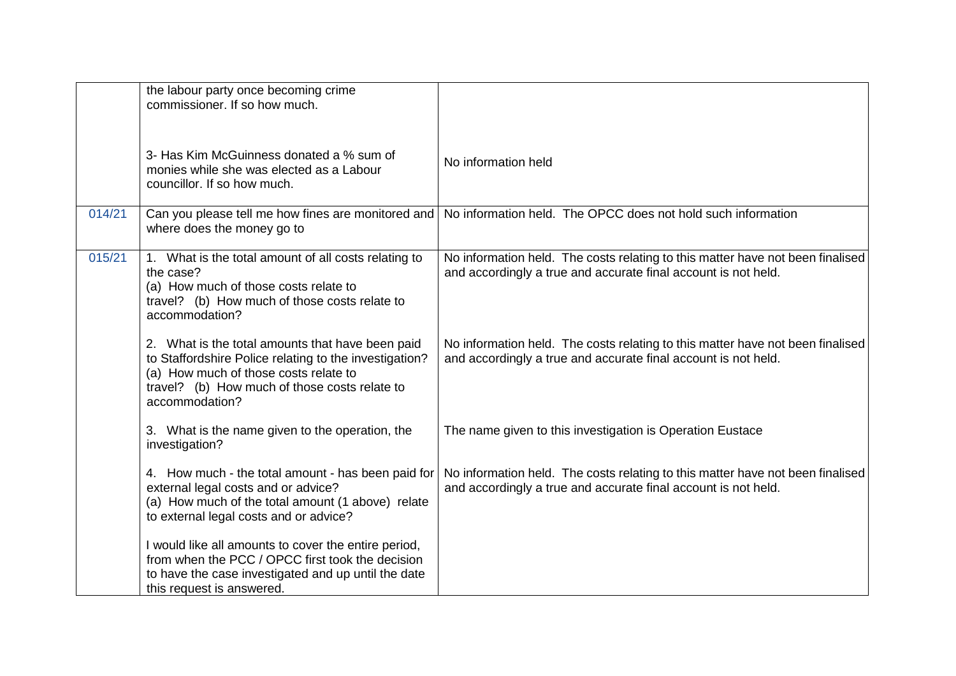|        | the labour party once becoming crime<br>commissioner. If so how much.                                                                                                                                                  |                                                                                                                                                  |
|--------|------------------------------------------------------------------------------------------------------------------------------------------------------------------------------------------------------------------------|--------------------------------------------------------------------------------------------------------------------------------------------------|
|        | 3- Has Kim McGuinness donated a % sum of<br>monies while she was elected as a Labour<br>councillor. If so how much.                                                                                                    | No information held                                                                                                                              |
| 014/21 | Can you please tell me how fines are monitored and<br>where does the money go to                                                                                                                                       | No information held. The OPCC does not hold such information                                                                                     |
| 015/21 | 1. What is the total amount of all costs relating to<br>the case?<br>(a) How much of those costs relate to<br>travel? (b) How much of those costs relate to<br>accommodation?                                          | No information held. The costs relating to this matter have not been finalised<br>and accordingly a true and accurate final account is not held. |
|        | 2. What is the total amounts that have been paid<br>to Staffordshire Police relating to the investigation?<br>(a) How much of those costs relate to<br>travel? (b) How much of those costs relate to<br>accommodation? | No information held. The costs relating to this matter have not been finalised<br>and accordingly a true and accurate final account is not held. |
|        | 3. What is the name given to the operation, the<br>investigation?                                                                                                                                                      | The name given to this investigation is Operation Eustace                                                                                        |
|        | 4. How much - the total amount - has been paid for<br>external legal costs and or advice?<br>(a) How much of the total amount (1 above) relate<br>to external legal costs and or advice?                               | No information held. The costs relating to this matter have not been finalised<br>and accordingly a true and accurate final account is not held. |
|        | I would like all amounts to cover the entire period,<br>from when the PCC / OPCC first took the decision<br>to have the case investigated and up until the date<br>this request is answered.                           |                                                                                                                                                  |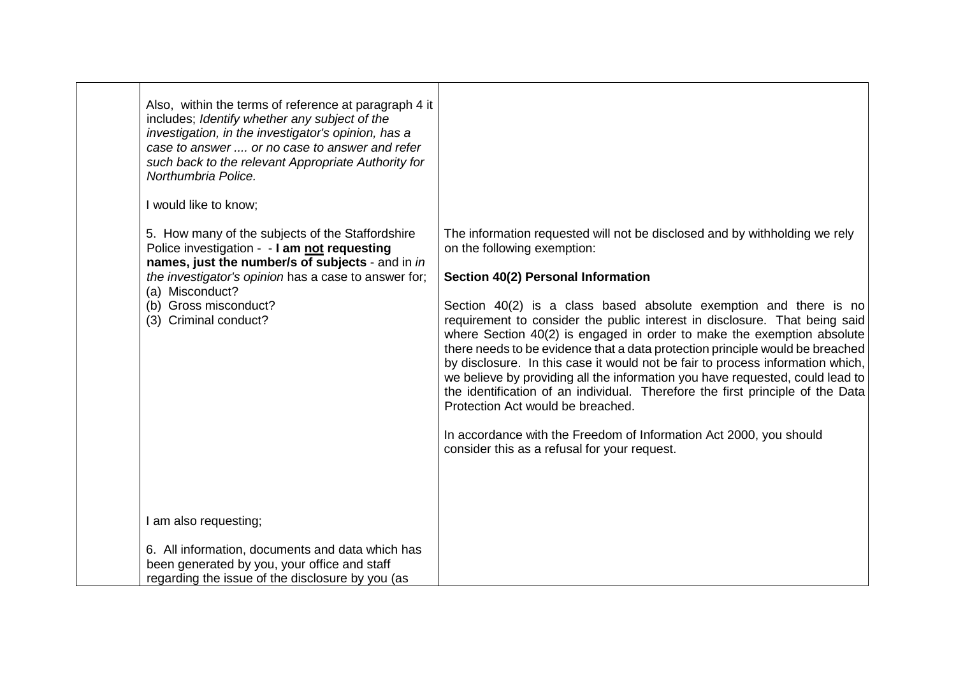| Also, within the terms of reference at paragraph 4 it<br>includes; Identify whether any subject of the<br>investigation, in the investigator's opinion, has a<br>case to answer  or no case to answer and refer<br>such back to the relevant Appropriate Authority for<br>Northumbria Police.<br>I would like to know;<br>5. How many of the subjects of the Staffordshire<br>Police investigation - - I am not requesting<br>names, just the number/s of subjects - and in in<br>the investigator's opinion has a case to answer for;<br>(a) Misconduct?<br>(b) Gross misconduct?<br>(3) Criminal conduct? | The information requested will not be disclosed and by withholding we rely<br>on the following exemption:<br>Section 40(2) Personal Information<br>Section 40(2) is a class based absolute exemption and there is no<br>requirement to consider the public interest in disclosure. That being said<br>where Section 40(2) is engaged in order to make the exemption absolute<br>there needs to be evidence that a data protection principle would be breached<br>by disclosure. In this case it would not be fair to process information which,<br>we believe by providing all the information you have requested, could lead to<br>the identification of an individual. Therefore the first principle of the Data<br>Protection Act would be breached.<br>In accordance with the Freedom of Information Act 2000, you should |
|-------------------------------------------------------------------------------------------------------------------------------------------------------------------------------------------------------------------------------------------------------------------------------------------------------------------------------------------------------------------------------------------------------------------------------------------------------------------------------------------------------------------------------------------------------------------------------------------------------------|-------------------------------------------------------------------------------------------------------------------------------------------------------------------------------------------------------------------------------------------------------------------------------------------------------------------------------------------------------------------------------------------------------------------------------------------------------------------------------------------------------------------------------------------------------------------------------------------------------------------------------------------------------------------------------------------------------------------------------------------------------------------------------------------------------------------------------|
|                                                                                                                                                                                                                                                                                                                                                                                                                                                                                                                                                                                                             | consider this as a refusal for your request.                                                                                                                                                                                                                                                                                                                                                                                                                                                                                                                                                                                                                                                                                                                                                                                  |
| I am also requesting;                                                                                                                                                                                                                                                                                                                                                                                                                                                                                                                                                                                       |                                                                                                                                                                                                                                                                                                                                                                                                                                                                                                                                                                                                                                                                                                                                                                                                                               |
| 6. All information, documents and data which has<br>been generated by you, your office and staff<br>regarding the issue of the disclosure by you (as                                                                                                                                                                                                                                                                                                                                                                                                                                                        |                                                                                                                                                                                                                                                                                                                                                                                                                                                                                                                                                                                                                                                                                                                                                                                                                               |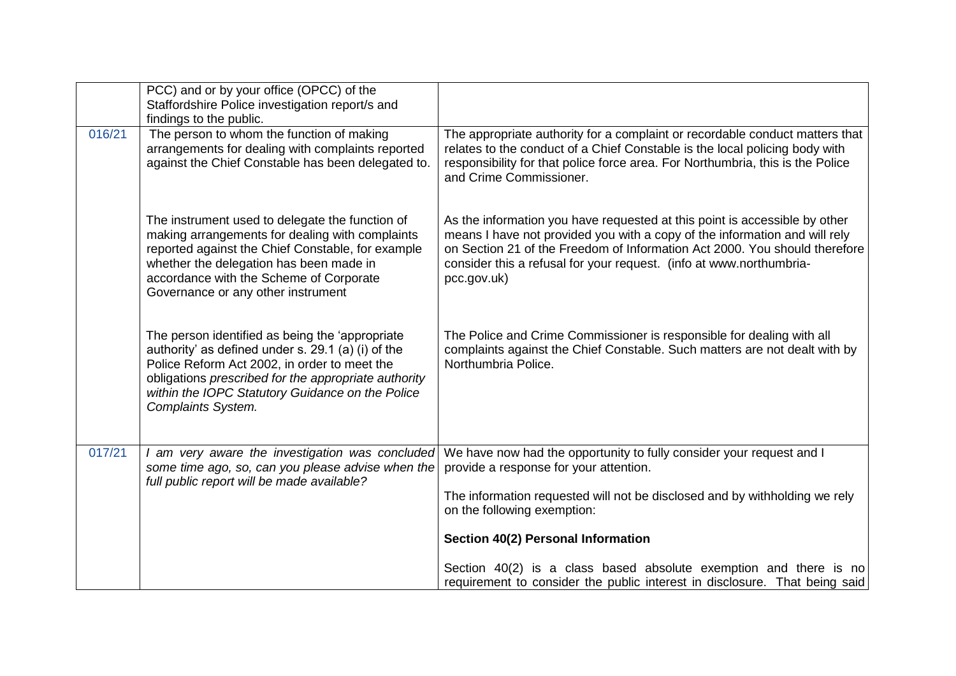|        | PCC) and or by your office (OPCC) of the<br>Staffordshire Police investigation report/s and<br>findings to the public.                                                                                                                                                                          |                                                                                                                                                                                                                                                                                                                              |
|--------|-------------------------------------------------------------------------------------------------------------------------------------------------------------------------------------------------------------------------------------------------------------------------------------------------|------------------------------------------------------------------------------------------------------------------------------------------------------------------------------------------------------------------------------------------------------------------------------------------------------------------------------|
| 016/21 | The person to whom the function of making<br>arrangements for dealing with complaints reported<br>against the Chief Constable has been delegated to.                                                                                                                                            | The appropriate authority for a complaint or recordable conduct matters that<br>relates to the conduct of a Chief Constable is the local policing body with<br>responsibility for that police force area. For Northumbria, this is the Police<br>and Crime Commissioner.                                                     |
|        | The instrument used to delegate the function of<br>making arrangements for dealing with complaints<br>reported against the Chief Constable, for example<br>whether the delegation has been made in<br>accordance with the Scheme of Corporate<br>Governance or any other instrument             | As the information you have requested at this point is accessible by other<br>means I have not provided you with a copy of the information and will rely<br>on Section 21 of the Freedom of Information Act 2000. You should therefore<br>consider this a refusal for your request. (info at www.northumbria-<br>pcc.gov.uk) |
|        | The person identified as being the 'appropriate'<br>authority' as defined under s. 29.1 (a) (i) of the<br>Police Reform Act 2002, in order to meet the<br>obligations prescribed for the appropriate authority<br>within the IOPC Statutory Guidance on the Police<br><b>Complaints System.</b> | The Police and Crime Commissioner is responsible for dealing with all<br>complaints against the Chief Constable. Such matters are not dealt with by<br>Northumbria Police.                                                                                                                                                   |
| 017/21 | I am very aware the investigation was concluded<br>some time ago, so, can you please advise when the<br>full public report will be made available?                                                                                                                                              | We have now had the opportunity to fully consider your request and I<br>provide a response for your attention.<br>The information requested will not be disclosed and by withholding we rely                                                                                                                                 |
|        |                                                                                                                                                                                                                                                                                                 | on the following exemption:<br>Section 40(2) Personal Information                                                                                                                                                                                                                                                            |
|        |                                                                                                                                                                                                                                                                                                 | Section 40(2) is a class based absolute exemption and there is no<br>requirement to consider the public interest in disclosure. That being said                                                                                                                                                                              |